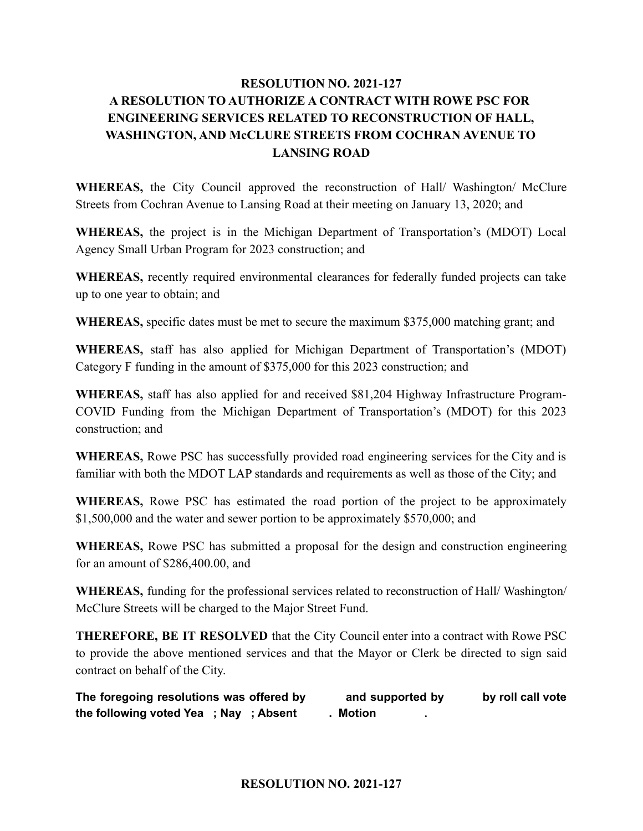## **RESOLUTION NO. 2021-127 A RESOLUTION TO AUTHORIZE A CONTRACT WITH ROWE PSC FOR ENGINEERING SERVICES RELATED TO RECONSTRUCTION OF HALL, WASHINGTON, AND McCLURE STREETS FROM COCHRAN AVENUE TO LANSING ROAD**

**WHEREAS,** the City Council approved the reconstruction of Hall/ Washington/ McClure Streets from Cochran Avenue to Lansing Road at their meeting on January 13, 2020; and

**WHEREAS,** the project is in the Michigan Department of Transportation's (MDOT) Local Agency Small Urban Program for 2023 construction; and

**WHEREAS,** recently required environmental clearances for federally funded projects can take up to one year to obtain; and

**WHEREAS,** specific dates must be met to secure the maximum \$375,000 matching grant; and

**WHEREAS,** staff has also applied for Michigan Department of Transportation's (MDOT) Category F funding in the amount of \$375,000 for this 2023 construction; and

**WHEREAS,** staff has also applied for and received \$81,204 Highway Infrastructure Program-COVID Funding from the Michigan Department of Transportation's (MDOT) for this 2023 construction; and

**WHEREAS,** Rowe PSC has successfully provided road engineering services for the City and is familiar with both the MDOT LAP standards and requirements as well as those of the City; and

**WHEREAS,** Rowe PSC has estimated the road portion of the project to be approximately \$1,500,000 and the water and sewer portion to be approximately \$570,000; and

**WHEREAS,** Rowe PSC has submitted a proposal for the design and construction engineering for an amount of \$286,400.00, and

**WHEREAS,** funding for the professional services related to reconstruction of Hall/ Washington/ McClure Streets will be charged to the Major Street Fund.

**THEREFORE, BE IT RESOLVED** that the City Council enter into a contract with Rowe PSC to provide the above mentioned services and that the Mayor or Clerk be directed to sign said contract on behalf of the City.

**The foregoing resolutions was offered by and supported by by roll call vote the following voted Yea ; Nay ; Absent . Motion .**